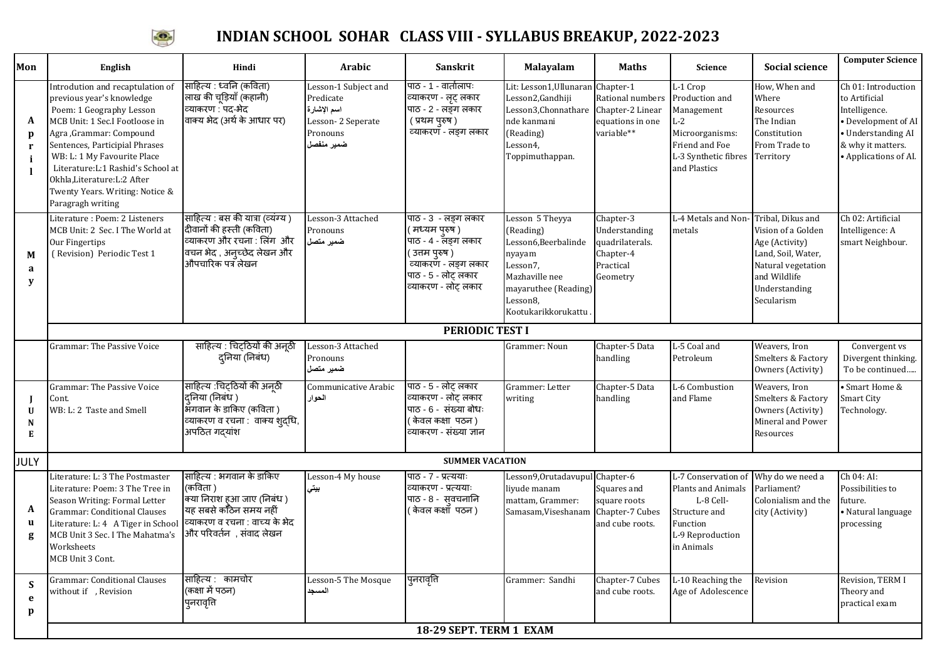

## **INDIAN SCHOOL SOHAR CLASS VIII - SYLLABUS BREAKUP, 2022-2023**

| Mon                    | English                                                                                                                                                                                                                                                                                                                                                | Hindi                                                                                                                                                   | <b>Arabic</b>                                                                                   | Sanskrit                                                                                                                                               | Malayalam                                                                                                                                                  | <b>Maths</b>                                                                        | <b>Science</b>                                                                                                                          | <b>Social science</b>                                                                                                           | <b>Computer Science</b>                                                                                                                          |
|------------------------|--------------------------------------------------------------------------------------------------------------------------------------------------------------------------------------------------------------------------------------------------------------------------------------------------------------------------------------------------------|---------------------------------------------------------------------------------------------------------------------------------------------------------|-------------------------------------------------------------------------------------------------|--------------------------------------------------------------------------------------------------------------------------------------------------------|------------------------------------------------------------------------------------------------------------------------------------------------------------|-------------------------------------------------------------------------------------|-----------------------------------------------------------------------------------------------------------------------------------------|---------------------------------------------------------------------------------------------------------------------------------|--------------------------------------------------------------------------------------------------------------------------------------------------|
| A<br>p<br>$\mathbf{r}$ | Introdution and recaptulation of<br>previous year's knowledge<br>Poem: 1 Geography Lesson<br>MCB Unit: 1 Sec.I Footloose in<br>Agra, Grammar: Compound<br>Sentences, Participial Phrases<br>WB: L: 1 My Favourite Place<br>Literature: L:1 Rashid's School at<br>Okhla, Literature: L: 2 After<br>Twenty Years. Writing: Notice &<br>Paragragh writing | साहित्य : ध्वनि (कविता)<br>लाख की चूड़ियाँ (कहानी)<br>व्याकरण : पद-भेद<br>वाक्य भेद (अर्थ के आधार पर)                                                   | Lesson-1 Subject and<br>Predicate<br>اسم الإشارة<br>Lesson-2 Seperate<br>Pronouns<br>ضمير منفصل | पाठ - 1 - वार्तालापः<br>व्याकरण - लूट् लकार<br>पाठ - 2 - लङ्ग लकार<br>( प्रथम पुरुष)<br>व्याकरणॅ - लङ्ग लकार                                           | Lit: Lesson1, Ullunaran Chapter-1<br>Lesson2, Gandhiji<br>Lesson3, Chonnathare Chapter-2 Linear<br>nde kanmani<br>(Reading)<br>Lesson4,<br>Toppimuthappan. | Rational numbers<br>equations in one<br>variable**                                  | L-1 Crop<br>Production and<br>Management<br>$-2$<br>Microorganisms:<br>Friend and Foe<br>L-3 Synthetic fibres Territory<br>and Plastics | How, When and<br>Where<br>Resources<br>The Indian<br>Constitution<br>From Trade to                                              | Ch 01: Introduction<br>to Artificial<br>Intelligence.<br>• Development of AI<br>· Understanding AI<br>& why it matters.<br>• Applications of AI. |
| M<br>a<br>y            | Literature: Poem: 2 Listeners<br>MCB Unit: 2 Sec. I The World at<br>Our Fingertips<br>(Revision) Periodic Test 1                                                                                                                                                                                                                                       | साहित्य : बस की यात्रा (व्यंग्य )<br>दीवानों की हस्ती (कविता)<br>व्याकरण और रचना : लिंग और<br>वचन भेद , अनुच्छेद लेखन और<br>औपचारिक पत्र लेखन           | Lesson-3 Attached<br>Pronouns<br>ضمير متصل                                                      | पाठ - 3 - लङ्ग लकार<br>( मध्यम पुरुष )<br>पाठ - 4 - लङ्ग लकार<br>( उत्तम पुरुष )<br>व्याकरणॅ - लङ्ग लकार<br>पाठ - 5 - लोट् लकार<br>व्याकरण - लोट् लकार | Lesson 5 Theyya<br>(Reading)<br>Lesson6, Beerbalinde<br>nyayam<br>Lesson7,<br>Mazhaville nee<br>mayaruthee (Reading)<br>Lesson8,<br>Kootukarikkorukattu    | Chapter-3<br>Understanding<br>quadrilaterals.<br>Chapter-4<br>Practical<br>Geometry | L-4 Metals and Non-Tribal, Dikus and<br>metals                                                                                          | Vision of a Golden<br>Age (Activity)<br>Land, Soil, Water,<br>Natural vegetation<br>and Wildlife<br>Understanding<br>Secularism | Ch 02: Artificial<br>Intelligence: A<br>smart Neighbour.                                                                                         |
|                        |                                                                                                                                                                                                                                                                                                                                                        |                                                                                                                                                         |                                                                                                 | PERIODIC TEST I                                                                                                                                        |                                                                                                                                                            |                                                                                     |                                                                                                                                         |                                                                                                                                 |                                                                                                                                                  |
|                        | Grammar: The Passive Voice                                                                                                                                                                                                                                                                                                                             | साहित्य : चिट्ठियों की अनूठी<br>दुनिया (निबंध)                                                                                                          | Lesson-3 Attached<br>Pronouns<br>ضمير متصل                                                      |                                                                                                                                                        | Grammer: Noun                                                                                                                                              | Chapter-5 Data<br>handling                                                          | L-5 Coal and<br>Petroleum                                                                                                               | Weavers, Iron<br>Smelters & Factory<br>Owners (Activity)                                                                        | Convergent vs<br>Divergent thinking.<br>To be continued                                                                                          |
| $\mathbf{U}$<br>N<br>Е | Grammar: The Passive Voice<br>Cont.<br>WB: L: 2 Taste and Smell                                                                                                                                                                                                                                                                                        | साहित्य :चिट्ठियों की अनूठी<br>दनिया (निबंध)<br>भॅगवान के डाकिए (कविता )<br>व्याकरण व रचना : वाक्य शुद्धि,<br>अपठित गदयांश                              | Communicative Arabic<br>الحوار                                                                  | पाठ - 5 - लोट् लकार<br>व्याकरण - लोट् लकार<br>पाठ - 6 - संख्या बोधः<br>( केवल कक्षा  पठन )<br>व्याकरण - संख्या ज्ञान                                   | Grammer: Letter<br>writing                                                                                                                                 | Chapter-5 Data<br>handling                                                          | L-6 Combustion<br>and Flame                                                                                                             | Weavers, Iron<br>Smelters & Factory<br>Owners (Activity)<br>Mineral and Power<br>Resources                                      | · Smart Home &<br><b>Smart City</b><br>Technology.                                                                                               |
| JULY                   |                                                                                                                                                                                                                                                                                                                                                        |                                                                                                                                                         |                                                                                                 | <b>SUMMER VACATION</b>                                                                                                                                 |                                                                                                                                                            |                                                                                     |                                                                                                                                         |                                                                                                                                 |                                                                                                                                                  |
| A<br>u<br>g            | Literature: L: 3 The Postmaster<br>Literature: Poem: 3 The Tree in<br>Season Writing: Formal Letter<br><b>Grammar: Conditional Clauses</b><br>Literature: L: 4 A Tiger in School<br>MCB Unit 3 Sec. I The Mahatma's<br>Worksheets<br>MCB Unit 3 Cont.                                                                                                  | साहित्य : भगवान के डाकिए<br>(कविता)<br>क्या निराश हुआ जाए (निबंध)<br>यह सबसे कठिन समय नहीं<br>व्याकरण व रचना : वाच्य के भेद<br>और परिवर्तन), संवाद लेखन | Lesson-4 My house<br>بيتي                                                                       | पाठ - ७ - प्रत्ययाः<br>व्याकरण - प्रत्ययाः<br>पाठ - 8 - सुवचनानि<br>( केवल कक्षॉ  पठन )                                                                | Lesson9, Orutadavupul Chapter-6<br>liyude manam<br>mattam, Grammer:<br>Samasam, Viseshanam Chapter-7 Cubes                                                 | Squares and<br>square roots<br>and cube roots.                                      | L-7 Conservation of Why do we need a<br>Plants and Animals<br>L-8 Cell-<br>Structure and<br>Function<br>L-9 Reproduction<br>in Animals  | Parliament?<br>Colonialism and the<br>city (Activity)                                                                           | Ch 04: AI:<br>Possibilities to<br>future.<br>· Natural language<br>processing                                                                    |
| <b>S</b><br>e<br>p     | Grammar: Conditional Clauses<br>without if , Revision                                                                                                                                                                                                                                                                                                  | साहित्य : कामचोर<br>(कक्षा में पठन)<br>पुनरावृति                                                                                                        | Lesson-5 The Mosque<br>المسجد                                                                   | पुनरावृति                                                                                                                                              | Grammer: Sandhi                                                                                                                                            | Chapter-7 Cubes<br>and cube roots.                                                  | L-10 Reaching the<br>Age of Adolescence                                                                                                 | Revision                                                                                                                        | Revision, TERM I<br>Theory and<br>practical exam                                                                                                 |
|                        | 18-29 SEPT. TERM 1 EXAM                                                                                                                                                                                                                                                                                                                                |                                                                                                                                                         |                                                                                                 |                                                                                                                                                        |                                                                                                                                                            |                                                                                     |                                                                                                                                         |                                                                                                                                 |                                                                                                                                                  |